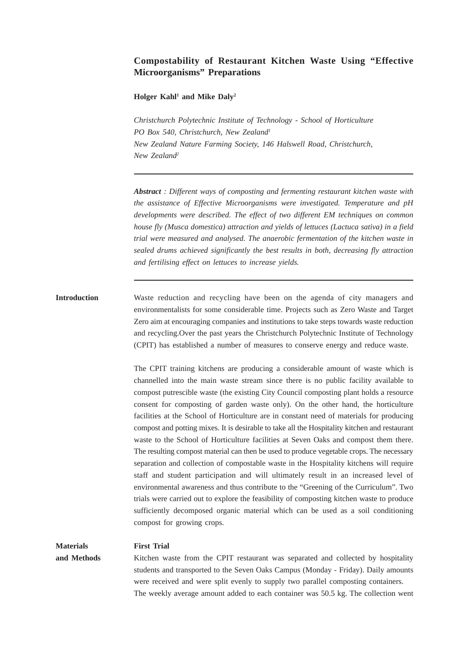# **Compostability of Restaurant Kitchen Waste Using "Effective Microorganisms" Preparations**

#### **Holger Kahl1 and Mike Daly2**

*Christchurch Polytechnic Institute of Technology - School of Horticulture PO Box 540, Christchurch, New Zealand1 New Zealand Nature Farming Society, 146 Halswell Road, Christchurch, New Zealand2*

*Abstract : Different ways of composting and fermenting restaurant kitchen waste with the assistance of Effective Microorganisms were investigated. Temperature and pH developments were described. The effect of two different EM techniques on common house fly (Musca domestica) attraction and yields of lettuces (Lactuca sativa) in a field trial were measured and analysed. The anaerobic fermentation of the kitchen waste in sealed drums achieved significantly the best results in both, decreasing fly attraction and fertilising effect on lettuces to increase yields.*

# **Introduction** Waste reduction and recycling have been on the agenda of city managers and environmentalists for some considerable time. Projects such as Zero Waste and Target Zero aim at encouraging companies and institutions to take steps towards waste reduction and recycling.Over the past years the Christchurch Polytechnic Institute of Technology (CPIT) has established a number of measures to conserve energy and reduce waste.

The CPIT training kitchens are producing a considerable amount of waste which is channelled into the main waste stream since there is no public facility available to compost putrescible waste (the existing City Council composting plant holds a resource consent for composting of garden waste only). On the other hand, the horticulture facilities at the School of Horticulture are in constant need of materials for producing compost and potting mixes. It is desirable to take all the Hospitality kitchen and restaurant waste to the School of Horticulture facilities at Seven Oaks and compost them there. The resulting compost material can then be used to produce vegetable crops. The necessary separation and collection of compostable waste in the Hospitality kitchens will require staff and student participation and will ultimately result in an increased level of environmental awareness and thus contribute to the "Greening of the Curriculum". Two trials were carried out to explore the feasibility of composting kitchen waste to produce sufficiently decomposed organic material which can be used as a soil conditioning compost for growing crops.

# **Materials First Trial**

**and Methods** Kitchen waste from the CPIT restaurant was separated and collected by hospitality students and transported to the Seven Oaks Campus (Monday - Friday). Daily amounts were received and were split evenly to supply two parallel composting containers. The weekly average amount added to each container was 50.5 kg. The collection went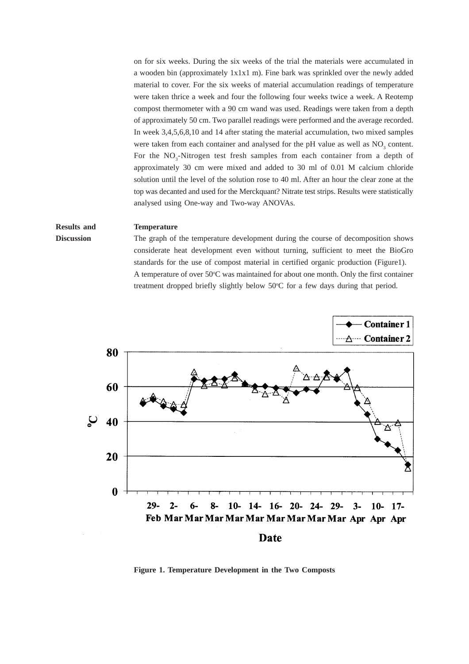on for six weeks. During the six weeks of the trial the materials were accumulated in a wooden bin (approximately 1x1x1 m). Fine bark was sprinkled over the newly added material to cover. For the six weeks of material accumulation readings of temperature were taken thrice a week and four the following four weeks twice a week. A Reotemp compost thermometer with a 90 cm wand was used. Readings were taken from a depth of approximately 50 cm. Two parallel readings were performed and the average recorded. In week 3,4,5,6,8,10 and 14 after stating the material accumulation, two mixed samples were taken from each container and analysed for the pH value as well as NO<sub>2</sub> content. For the NO<sub>3</sub>-Nitrogen test fresh samples from each container from a depth of approximately 30 cm were mixed and added to 30 ml of 0.01 M calcium chloride solution until the level of the solution rose to 40 ml. After an hour the clear zone at the top was decanted and used for the Merckquant? Nitrate test strips. Results were statistically analysed using One-way and Two-way ANOVAs.

#### **Results and Temperature**

# **Discussion** The graph of the temperature development during the course of decomposition shows considerate heat development even without turning, sufficient to meet the BioGro standards for the use of compost material in certified organic production (Figure1). A temperature of over  $50^{\circ}$ C was maintained for about one month. Only the first container treatment dropped briefly slightly below 50°C for a few days during that period.



**Figure 1. Temperature Development in the Two Composts**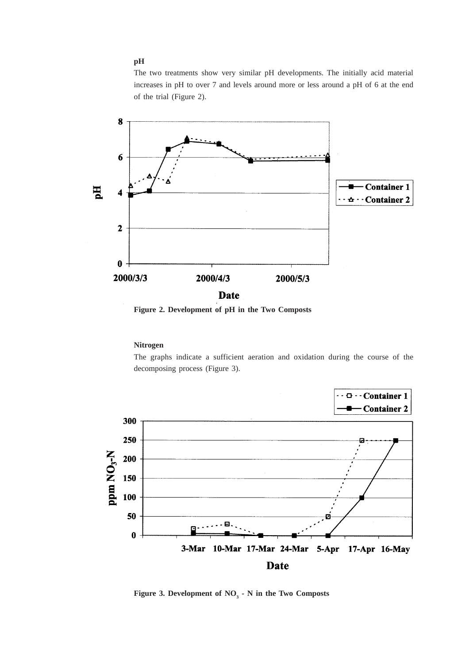### **pH**

The two treatments show very similar pH developments. The initially acid material increases in pH to over 7 and levels around more or less around a pH of 6 at the end of the trial (Figure 2).



**Figure 2. Development of pH in the Two Composts**

#### **Nitrogen**

The graphs indicate a sufficient aeration and oxidation during the course of the decomposing process (Figure 3).



**Figure 3. Development of NO<sub>3</sub>**  $\cdot$  **N in the Two Composts**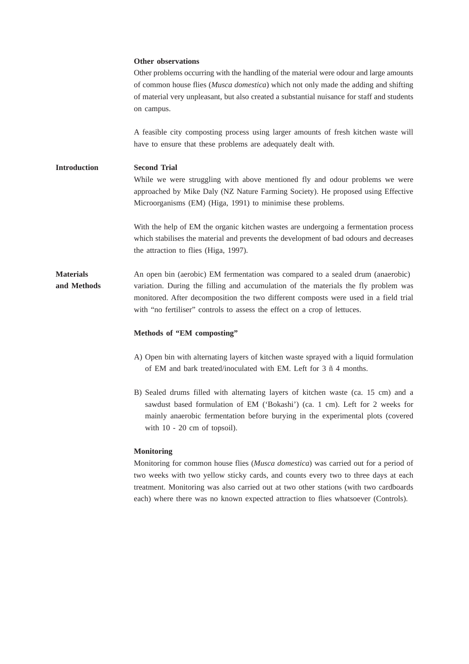#### **Other observations**

Other problems occurring with the handling of the material were odour and large amounts of common house flies (*Musca domestica*) which not only made the adding and shifting of material very unpleasant, but also created a substantial nuisance for staff and students on campus.

A feasible city composting process using larger amounts of fresh kitchen waste will have to ensure that these problems are adequately dealt with.

**Introduction Second Trial** While we were struggling with above mentioned fly and odour problems we were approached by Mike Daly (NZ Nature Farming Society). He proposed using Effective Microorganisms (EM) (Higa, 1991) to minimise these problems.

> With the help of EM the organic kitchen wastes are undergoing a fermentation process which stabilises the material and prevents the development of bad odours and decreases the attraction to flies (Higa, 1997).

**Materials** An open bin (aerobic) EM fermentation was compared to a sealed drum (anaerobic) **and Methods** variation. During the filling and accumulation of the materials the fly problem was monitored. After decomposition the two different composts were used in a field trial with "no fertiliser" controls to assess the effect on a crop of lettuces.

#### **Methods of "EM composting"**

- A) Open bin with alternating layers of kitchen waste sprayed with a liquid formulation of EM and bark treated/inoculated with EM. Left for 3 ñ 4 months.
- B) Sealed drums filled with alternating layers of kitchen waste (ca. 15 cm) and a sawdust based formulation of EM ('Bokashi') (ca. 1 cm). Left for 2 weeks for mainly anaerobic fermentation before burying in the experimental plots (covered with  $10 - 20$  cm of topsoil).

#### **Monitoring**

Monitoring for common house flies (*Musca domestica*) was carried out for a period of two weeks with two yellow sticky cards, and counts every two to three days at each treatment. Monitoring was also carried out at two other stations (with two cardboards each) where there was no known expected attraction to flies whatsoever (Controls).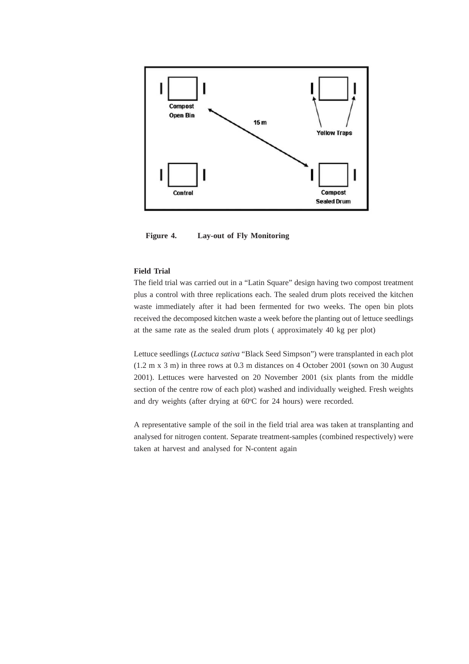

**Figure 4. Lay-out of Fly Monitoring**

### **Field Trial**

The field trial was carried out in a "Latin Square" design having two compost treatment plus a control with three replications each. The sealed drum plots received the kitchen waste immediately after it had been fermented for two weeks. The open bin plots received the decomposed kitchen waste a week before the planting out of lettuce seedlings at the same rate as the sealed drum plots ( approximately 40 kg per plot)

Lettuce seedlings (*Lactuca sativa* "Black Seed Simpson") were transplanted in each plot (1.2 m x 3 m) in three rows at 0.3 m distances on 4 October 2001 (sown on 30 August 2001). Lettuces were harvested on 20 November 2001 (six plants from the middle section of the centre row of each plot) washed and individually weighed. Fresh weights and dry weights (after drying at 60°C for 24 hours) were recorded.

A representative sample of the soil in the field trial area was taken at transplanting and analysed for nitrogen content. Separate treatment-samples (combined respectively) were taken at harvest and analysed for N-content again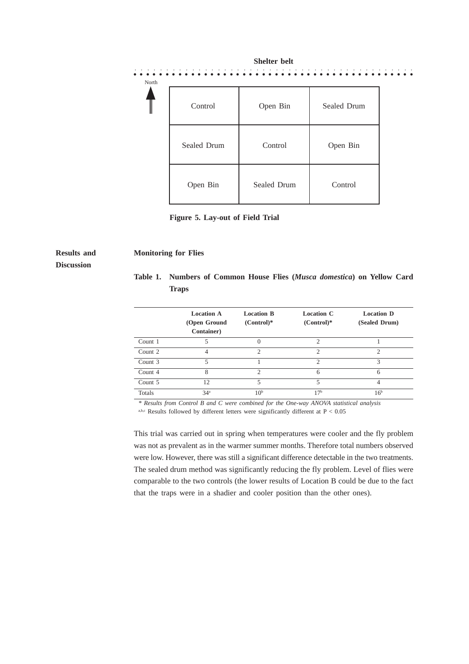|       |             | Shelter belt |             |  |
|-------|-------------|--------------|-------------|--|
| North |             |              |             |  |
| Ш     | Control     | Open Bin     | Sealed Drum |  |
|       | Sealed Drum | Control      | Open Bin    |  |
|       | Open Bin    | Sealed Drum  | Control     |  |

**Figure 5. Lay-out of Field Trial**

# **Discussion**

#### **Results and Monitoring for Flies**

|       |  |  | Table 1. Numbers of Common House Flies ( <i>Musca domestica</i> ) on Yellow Card |  |  |
|-------|--|--|----------------------------------------------------------------------------------|--|--|
| Traps |  |  |                                                                                  |  |  |

|         | <b>Location A</b><br>(Open Ground<br><b>Container</b> ) | <b>Location B</b><br>$(Control)*$ | <b>Location C</b><br>$(Control)*$ | <b>Location D</b><br>(Sealed Drum) |
|---------|---------------------------------------------------------|-----------------------------------|-----------------------------------|------------------------------------|
| Count 1 | 5                                                       |                                   | 2                                 |                                    |
| Count 2 | 4                                                       | $\mathcal{D}$                     | $\mathfrak{D}$                    | $\mathfrak{D}$                     |
| Count 3 | 5                                                       |                                   | $\mathfrak{D}$                    | 3                                  |
| Count 4 | 8                                                       | $\mathcal{D}$                     | 6                                 | 6                                  |
| Count 5 | 12                                                      | 5                                 | 5                                 |                                    |
| Totals  | 34 <sup>a</sup>                                         | 10 <sup>b</sup>                   | 17 <sup>b</sup>                   | 16 <sup>b</sup>                    |

*\* Results from Control B and C were combined for the One-way ANOVA statistical analysis*

a,b,c Results followed by different letters were significantly different at  $P < 0.05$ 

This trial was carried out in spring when temperatures were cooler and the fly problem was not as prevalent as in the warmer summer months. Therefore total numbers observed were low. However, there was still a significant difference detectable in the two treatments. The sealed drum method was significantly reducing the fly problem. Level of flies were comparable to the two controls (the lower results of Location B could be due to the fact that the traps were in a shadier and cooler position than the other ones).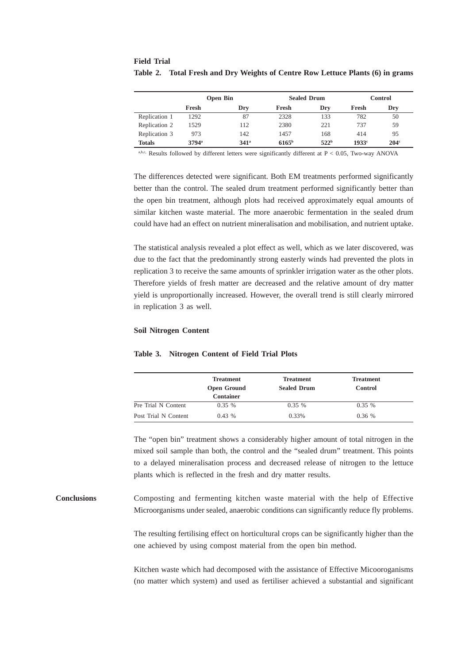|               | <b>Open Bin</b> |                  |                   | <b>Sealed Drum</b> | <b>Control</b> |                  |
|---------------|-----------------|------------------|-------------------|--------------------|----------------|------------------|
|               | Fresh           | Dry              | Fresh             | Dry                | Fresh          | Dry              |
| Replication 1 | 1292            | 87               | 2328              | 133                | 782            | 50               |
| Replication 2 | 1529            | 112              | 2380              | 221                | 737            | 59               |
| Replication 3 | 973             | 142              | 1457              | 168                | 414            | 95               |
| <b>Totals</b> | $3794^{\circ}$  | 341 <sup>a</sup> | 6165 <sup>b</sup> | 522 <sup>b</sup>   | 1933c          | 204 <sup>c</sup> |

# **Field Trial Table 2. Total Fresh and Dry Weights of Centre Row Lettuce Plants (6) in grams**

a,b,c, Results followed by different letters were significantly different at  $P < 0.05$ , Two-way ANOVA

The differences detected were significant. Both EM treatments performed significantly better than the control. The sealed drum treatment performed significantly better than the open bin treatment, although plots had received approximately equal amounts of similar kitchen waste material. The more anaerobic fermentation in the sealed drum could have had an effect on nutrient mineralisation and mobilisation, and nutrient uptake.

The statistical analysis revealed a plot effect as well, which as we later discovered, was due to the fact that the predominantly strong easterly winds had prevented the plots in replication 3 to receive the same amounts of sprinkler irrigation water as the other plots. Therefore yields of fresh matter are decreased and the relative amount of dry matter yield is unproportionally increased. However, the overall trend is still clearly mirrored in replication 3 as well.

#### **Soil Nitrogen Content**

|                      | <b>Treatment</b><br><b>Open Ground</b><br><b>Container</b> | <b>Treatment</b><br><b>Sealed Drum</b> | <b>Treatment</b><br><b>Control</b> |  |
|----------------------|------------------------------------------------------------|----------------------------------------|------------------------------------|--|
| Pre Trial N Content  | $0.35\%$                                                   | $0.35\%$                               | $0.35\%$                           |  |
| Post Trial N Content | $0.43\%$                                                   | 0.33%                                  | 0.36%                              |  |

#### **Table 3. Nitrogen Content of Field Trial Plots**

The "open bin" treatment shows a considerably higher amount of total nitrogen in the mixed soil sample than both, the control and the "sealed drum" treatment. This points to a delayed mineralisation process and decreased release of nitrogen to the lettuce plants which is reflected in the fresh and dry matter results.

## **Conclusions** Composting and fermenting kitchen waste material with the help of Effective Microorganisms under sealed, anaerobic conditions can significantly reduce fly problems.

The resulting fertilising effect on horticultural crops can be significantly higher than the one achieved by using compost material from the open bin method.

Kitchen waste which had decomposed with the assistance of Effective Micooroganisms (no matter which system) and used as fertiliser achieved a substantial and significant